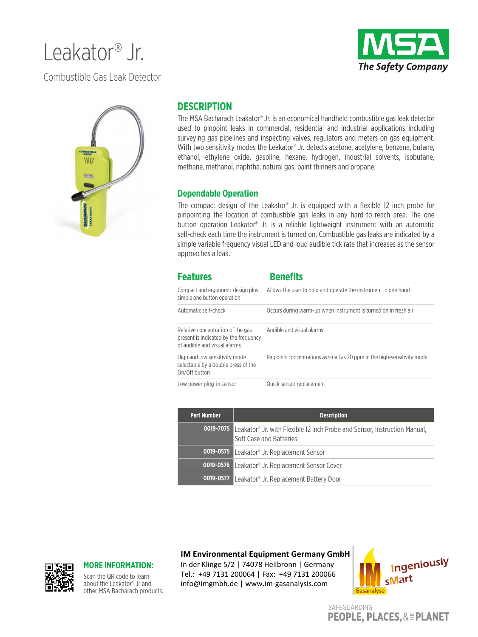# Leakator® Jr.

**The Safety Company** 

Combustible Gas Leak Detector



### **DESCRIPTION**

The MSA Bacharach Leakator® Jr. is an economical handheld combustible gas leak detector used to pinpoint leaks in commercial, residential and industrial applications including surveying gas pipelines and inspecting valves, regulators and meters on gas equipment. With two sensitivity modes the Leakator<sup>®</sup> Jr. detects acetone, acetylene, benzene, butane, ethanol, ethylene oxide, gasoline, hexane, hydrogen, industrial solvents, isobutane, methane, methanol, naphtha, natural gas, paint thinners and propane.

#### **Dependable Operation**

The compact design of the Leakator® Jr. is equipped with a flexible 12 inch probe for pinpointing the location of combustible gas leaks in any hard-to-reach area. The one button operation Leakator® Jr. is a reliable lightweight instrument with an automatic self-check each time the instrument is turned on. Combustible gas leaks are indicated by a simple variable frequency visual LED and loud audible tick rate that increases as the sensor approaches a leak.

| <b>Features</b>                                                                                            | <b>Benefits</b>                                                          |
|------------------------------------------------------------------------------------------------------------|--------------------------------------------------------------------------|
| Compact and ergonomic design plus<br>simple one button operation                                           | Allows the user to hold and operate the instrument in one hand           |
| Automatic self-check                                                                                       | Occurs during warm-up when instrument is turned on in fresh air          |
| Relative concentration of the gas<br>present is indicated by the frequency<br>of audible and visual alarms | Audible and visual alarms                                                |
| High and low sensitivity mode<br>selectable by a double press of the<br>On/Off button                      | Pinpoints concentrations as small as 20 ppm in the high-sensitivity mode |
| Low power plug-in sensor                                                                                   | Quick sensor replacement                                                 |

| <b>Part Number</b> | <b>Description</b>                                                                                                                |
|--------------------|-----------------------------------------------------------------------------------------------------------------------------------|
|                    | <b>0019-7075</b> Leakator <sup>®</sup> Jr. with Flexible 12 inch Probe and Sensor, Instruction Manual,<br>Soft Case and Batteries |
|                    | <b>0019-0575</b> Leakator <sup>®</sup> Jr. Replacement Sensor                                                                     |
|                    | <b>0019-0576</b> Leakator <sup>®</sup> Jr. Replacement Sensor Cover                                                               |
|                    | <b>0019-0577</b> Leakator <sup>®</sup> Jr. Replacement Battery Door                                                               |

#### **IM Environmental Equipment Germany GmbH**

In der Klinge 5/2 | 74078 Heilbronn | Germany Tel.: +49 7131 200064 | Fax: +49 7131 200066 info@imgmbh.de | www.im-gasanalysis.com



SAFEGUARDING **PEOPLE, PLACES, & EPLANET** 



#### **MORE INFORMATION:**

Scan the QR code to learn about the Leakator® Jr and other MSA Bacharach products.